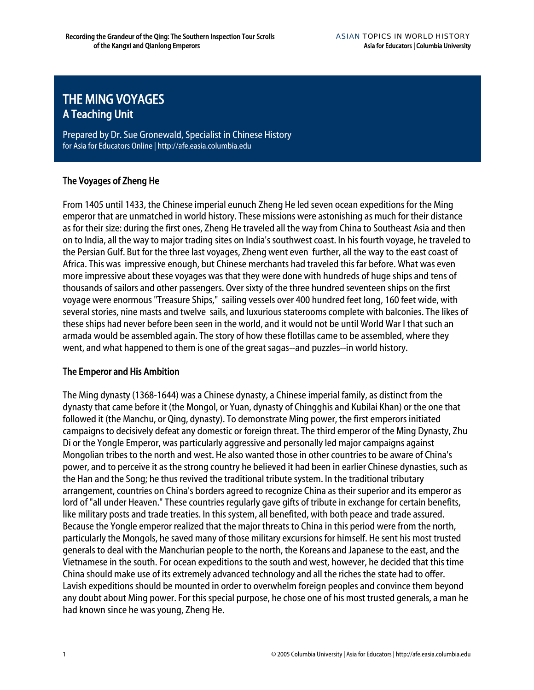# THE MING VOYAGES A Teaching Unit

Prepared by Dr. Sue Gronewald, Specialist in Chinese History for Asia for Educators Online | http://afe.easia.columbia.edu

## The Voyages of Zheng He

From 1405 until 1433, the Chinese imperial eunuch Zheng He led seven ocean expeditions for the Ming emperor that are unmatched in world history. These missions were astonishing as much for their distance as for their size: during the first ones, Zheng He traveled all the way from China to Southeast Asia and then on to India, all the way to major trading sites on India's southwest coast. In his fourth voyage, he traveled to the Persian Gulf. But for the three last voyages, Zheng went even further, all the way to the east coast of Africa. This was impressive enough, but Chinese merchants had traveled this far before. What was even more impressive about these voyages was that they were done with hundreds of huge ships and tens of thousands of sailors and other passengers. Over sixty of the three hundred seventeen ships on the first voyage were enormous "Treasure Ships," sailing vessels over 400 hundred feet long, 160 feet wide, with several stories, nine masts and twelve sails, and luxurious staterooms complete with balconies. The likes of these ships had never before been seen in the world, and it would not be until World War I that such an armada would be assembled again. The story of how these flotillas came to be assembled, where they went, and what happened to them is one of the great sagas--and puzzles--in world history.

#### The Emperor and His Ambition

The Ming dynasty (1368-1644) was a Chinese dynasty, a Chinese imperial family, as distinct from the dynasty that came before it (the Mongol, or Yuan, dynasty of Chingghis and Kubilai Khan) or the one that followed it (the Manchu, or Qing, dynasty). To demonstrate Ming power, the first emperors initiated campaigns to decisively defeat any domestic or foreign threat. The third emperor of the Ming Dynasty, Zhu Di or the Yongle Emperor, was particularly aggressive and personally led major campaigns against Mongolian tribes to the north and west. He also wanted those in other countries to be aware of China's power, and to perceive it as the strong country he believed it had been in earlier Chinese dynasties, such as the Han and the Song; he thus revived the traditional tribute system. In the traditional tributary arrangement, countries on China's borders agreed to recognize China as their superior and its emperor as lord of "all under Heaven." These countries regularly gave gifts of tribute in exchange for certain benefits, like military posts and trade treaties. In this system, all benefited, with both peace and trade assured. Because the Yongle emperor realized that the major threats to China in this period were from the north, particularly the Mongols, he saved many of those military excursions for himself. He sent his most trusted generals to deal with the Manchurian people to the north, the Koreans and Japanese to the east, and the Vietnamese in the south. For ocean expeditions to the south and west, however, he decided that this time China should make use of its extremely advanced technology and all the riches the state had to offer. Lavish expeditions should be mounted in order to overwhelm foreign peoples and convince them beyond any doubt about Ming power. For this special purpose, he chose one of his most trusted generals, a man he had known since he was young, Zheng He.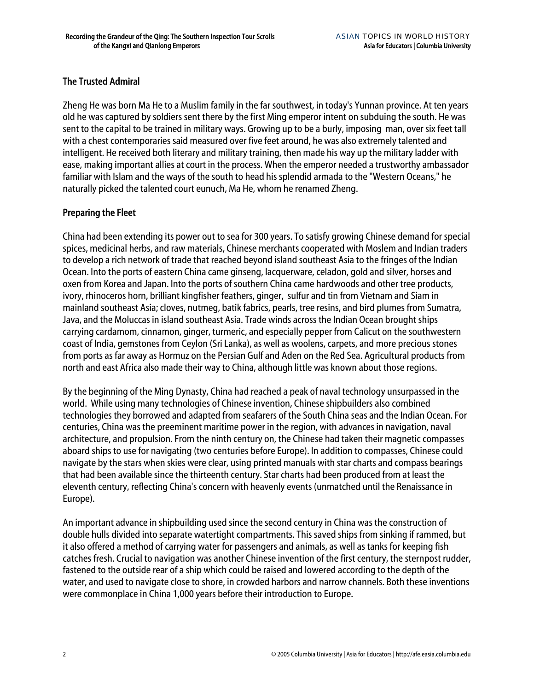## The Trusted Admiral

Zheng He was born Ma He to a Muslim family in the far southwest, in today's Yunnan province. At ten years old he was captured by soldiers sent there by the first Ming emperor intent on subduing the south. He was sent to the capital to be trained in military ways. Growing up to be a burly, imposing man, over six feet tall with a chest contemporaries said measured over five feet around, he was also extremely talented and intelligent. He received both literary and military training, then made his way up the military ladder with ease, making important allies at court in the process. When the emperor needed a trustworthy ambassador familiar with Islam and the ways of the south to head his splendid armada to the "Western Oceans," he naturally picked the talented court eunuch, Ma He, whom he renamed Zheng.

# Preparing the Fleet

China had been extending its power out to sea for 300 years. To satisfy growing Chinese demand for special spices, medicinal herbs, and raw materials, Chinese merchants cooperated with Moslem and Indian traders to develop a rich network of trade that reached beyond island southeast Asia to the fringes of the Indian Ocean. Into the ports of eastern China came ginseng, lacquerware, celadon, gold and silver, horses and oxen from Korea and Japan. Into the ports of southern China came hardwoods and other tree products, ivory, rhinoceros horn, brilliant kingfisher feathers, ginger, sulfur and tin from Vietnam and Siam in mainland southeast Asia; cloves, nutmeg, batik fabrics, pearls, tree resins, and bird plumes from Sumatra, Java, and the Moluccas in island southeast Asia. Trade winds across the Indian Ocean brought ships carrying cardamom, cinnamon, ginger, turmeric, and especially pepper from Calicut on the southwestern coast of India, gemstones from Ceylon (Sri Lanka), as well as woolens, carpets, and more precious stones from ports as far away as Hormuz on the Persian Gulf and Aden on the Red Sea. Agricultural products from north and east Africa also made their way to China, although little was known about those regions.

By the beginning of the Ming Dynasty, China had reached a peak of naval technology unsurpassed in the world. While using many technologies of Chinese invention, Chinese shipbuilders also combined technologies they borrowed and adapted from seafarers of the South China seas and the Indian Ocean. For centuries, China was the preeminent maritime power in the region, with advances in navigation, naval architecture, and propulsion. From the ninth century on, the Chinese had taken their magnetic compasses aboard ships to use for navigating (two centuries before Europe). In addition to compasses, Chinese could navigate by the stars when skies were clear, using printed manuals with star charts and compass bearings that had been available since the thirteenth century. Star charts had been produced from at least the eleventh century, reflecting China's concern with heavenly events (unmatched until the Renaissance in Europe).

An important advance in shipbuilding used since the second century in China was the construction of double hulls divided into separate watertight compartments. This saved ships from sinking if rammed, but it also offered a method of carrying water for passengers and animals, as well as tanks for keeping fish catches fresh. Crucial to navigation was another Chinese invention of the first century, the sternpost rudder, fastened to the outside rear of a ship which could be raised and lowered according to the depth of the water, and used to navigate close to shore, in crowded harbors and narrow channels. Both these inventions were commonplace in China 1,000 years before their introduction to Europe.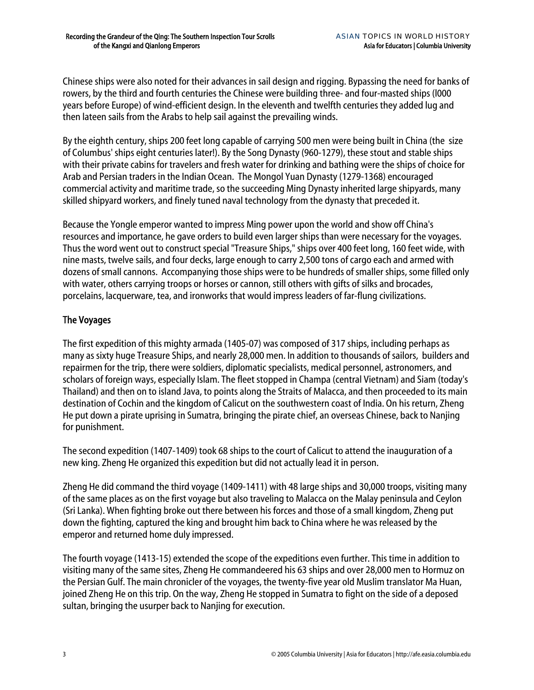Chinese ships were also noted for their advances in sail design and rigging. Bypassing the need for banks of rowers, by the third and fourth centuries the Chinese were building three- and four-masted ships (l000 years before Europe) of wind-efficient design. In the eleventh and twelfth centuries they added lug and then lateen sails from the Arabs to help sail against the prevailing winds.

By the eighth century, ships 200 feet long capable of carrying 500 men were being built in China (the size of Columbus' ships eight centuries later!). By the Song Dynasty (960-1279), these stout and stable ships with their private cabins for travelers and fresh water for drinking and bathing were the ships of choice for Arab and Persian traders in the Indian Ocean. The Mongol Yuan Dynasty (1279-1368) encouraged commercial activity and maritime trade, so the succeeding Ming Dynasty inherited large shipyards, many skilled shipyard workers, and finely tuned naval technology from the dynasty that preceded it.

Because the Yongle emperor wanted to impress Ming power upon the world and show off China's resources and importance, he gave orders to build even larger ships than were necessary for the voyages. Thus the word went out to construct special "Treasure Ships," ships over 400 feet long, 160 feet wide, with nine masts, twelve sails, and four decks, large enough to carry 2,500 tons of cargo each and armed with dozens of small cannons. Accompanying those ships were to be hundreds of smaller ships, some filled only with water, others carrying troops or horses or cannon, still others with gifts of silks and brocades, porcelains, lacquerware, tea, and ironworks that would impress leaders of far-flung civilizations.

# The Voyages

The first expedition of this mighty armada (1405-07) was composed of 317 ships, including perhaps as many as sixty huge Treasure Ships, and nearly 28,000 men. In addition to thousands of sailors, builders and repairmen for the trip, there were soldiers, diplomatic specialists, medical personnel, astronomers, and scholars of foreign ways, especially Islam. The fleet stopped in Champa (central Vietnam) and Siam (today's Thailand) and then on to island Java, to points along the Straits of Malacca, and then proceeded to its main destination of Cochin and the kingdom of Calicut on the southwestern coast of India. On his return, Zheng He put down a pirate uprising in Sumatra, bringing the pirate chief, an overseas Chinese, back to Nanjing for punishment.

The second expedition (1407-1409) took 68 ships to the court of Calicut to attend the inauguration of a new king. Zheng He organized this expedition but did not actually lead it in person.

Zheng He did command the third voyage (1409-1411) with 48 large ships and 30,000 troops, visiting many of the same places as on the first voyage but also traveling to Malacca on the Malay peninsula and Ceylon (Sri Lanka). When fighting broke out there between his forces and those of a small kingdom, Zheng put down the fighting, captured the king and brought him back to China where he was released by the emperor and returned home duly impressed.

The fourth voyage (1413-15) extended the scope of the expeditions even further. This time in addition to visiting many of the same sites, Zheng He commandeered his 63 ships and over 28,000 men to Hormuz on the Persian Gulf. The main chronicler of the voyages, the twenty-five year old Muslim translator Ma Huan, joined Zheng He on this trip. On the way, Zheng He stopped in Sumatra to fight on the side of a deposed sultan, bringing the usurper back to Nanjing for execution.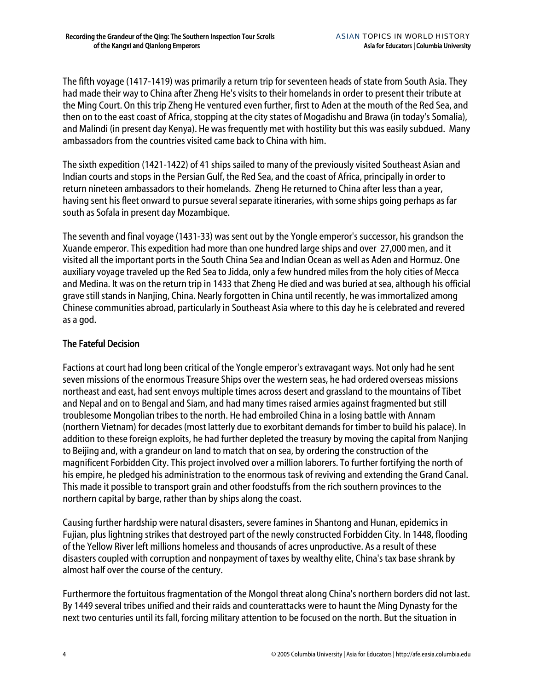The fifth voyage (1417-1419) was primarily a return trip for seventeen heads of state from South Asia. They had made their way to China after Zheng He's visits to their homelands in order to present their tribute at the Ming Court. On this trip Zheng He ventured even further, first to Aden at the mouth of the Red Sea, and then on to the east coast of Africa, stopping at the city states of Mogadishu and Brawa (in today's Somalia), and Malindi (in present day Kenya). He was frequently met with hostility but this was easily subdued. Many ambassadors from the countries visited came back to China with him.

The sixth expedition (1421-1422) of 41 ships sailed to many of the previously visited Southeast Asian and Indian courts and stops in the Persian Gulf, the Red Sea, and the coast of Africa, principally in order to return nineteen ambassadors to their homelands. Zheng He returned to China after less than a year, having sent his fleet onward to pursue several separate itineraries, with some ships going perhaps as far south as Sofala in present day Mozambique.

The seventh and final voyage (1431-33) was sent out by the Yongle emperor's successor, his grandson the Xuande emperor. This expedition had more than one hundred large ships and over 27,000 men, and it visited all the important ports in the South China Sea and Indian Ocean as well as Aden and Hormuz. One auxiliary voyage traveled up the Red Sea to Jidda, only a few hundred miles from the holy cities of Mecca and Medina. It was on the return trip in 1433 that Zheng He died and was buried at sea, although his official grave still stands in Nanjing, China. Nearly forgotten in China until recently, he was immortalized among Chinese communities abroad, particularly in Southeast Asia where to this day he is celebrated and revered as a god.

## The Fateful Decision

Factions at court had long been critical of the Yongle emperor's extravagant ways. Not only had he sent seven missions of the enormous Treasure Ships over the western seas, he had ordered overseas missions northeast and east, had sent envoys multiple times across desert and grassland to the mountains of Tibet and Nepal and on to Bengal and Siam, and had many times raised armies against fragmented but still troublesome Mongolian tribes to the north. He had embroiled China in a losing battle with Annam (northern Vietnam) for decades (most latterly due to exorbitant demands for timber to build his palace). In addition to these foreign exploits, he had further depleted the treasury by moving the capital from Nanjing to Beijing and, with a grandeur on land to match that on sea, by ordering the construction of the magnificent Forbidden City. This project involved over a million laborers. To further fortifying the north of his empire, he pledged his administration to the enormous task of reviving and extending the Grand Canal. This made it possible to transport grain and other foodstuffs from the rich southern provinces to the northern capital by barge, rather than by ships along the coast.

Causing further hardship were natural disasters, severe famines in Shantong and Hunan, epidemics in Fujian, plus lightning strikes that destroyed part of the newly constructed Forbidden City. In 1448, flooding of the Yellow River left millions homeless and thousands of acres unproductive. As a result of these disasters coupled with corruption and nonpayment of taxes by wealthy elite, China's tax base shrank by almost half over the course of the century.

Furthermore the fortuitous fragmentation of the Mongol threat along China's northern borders did not last. By 1449 several tribes unified and their raids and counterattacks were to haunt the Ming Dynasty for the next two centuries until its fall, forcing military attention to be focused on the north. But the situation in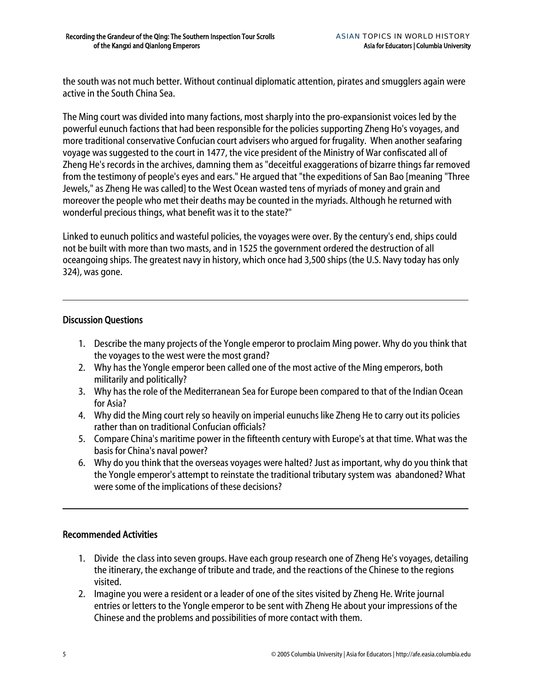the south was not much better. Without continual diplomatic attention, pirates and smugglers again were active in the South China Sea.

The Ming court was divided into many factions, most sharply into the pro-expansionist voices led by the powerful eunuch factions that had been responsible for the policies supporting Zheng Ho's voyages, and more traditional conservative Confucian court advisers who argued for frugality. When another seafaring voyage was suggested to the court in 1477, the vice president of the Ministry of War confiscated all of Zheng He's records in the archives, damning them as "deceitful exaggerations of bizarre things far removed from the testimony of people's eyes and ears." He argued that "the expeditions of San Bao [meaning "Three Jewels," as Zheng He was called] to the West Ocean wasted tens of myriads of money and grain and moreover the people who met their deaths may be counted in the myriads. Although he returned with wonderful precious things, what benefit was it to the state?"

Linked to eunuch politics and wasteful policies, the voyages were over. By the century's end, ships could not be built with more than two masts, and in 1525 the government ordered the destruction of all oceangoing ships. The greatest navy in history, which once had 3,500 ships (the U.S. Navy today has only 324), was gone.

#### Discussion Questions

- 1. Describe the many projects of the Yongle emperor to proclaim Ming power. Why do you think that the voyages to the west were the most grand?
- 2. Why has the Yongle emperor been called one of the most active of the Ming emperors, both militarily and politically?
- 3. Why has the role of the Mediterranean Sea for Europe been compared to that of the Indian Ocean for Asia?
- 4. Why did the Ming court rely so heavily on imperial eunuchs like Zheng He to carry out its policies rather than on traditional Confucian officials?
- 5. Compare China's maritime power in the fifteenth century with Europe's at that time. What was the basis for China's naval power?
- 6. Why do you think that the overseas voyages were halted? Just as important, why do you think that the Yongle emperor's attempt to reinstate the traditional tributary system was abandoned? What were some of the implications of these decisions?

#### Recommended Activities

- 1. Divide the class into seven groups. Have each group research one of Zheng He's voyages, detailing the itinerary, the exchange of tribute and trade, and the reactions of the Chinese to the regions visited.
- 2. Imagine you were a resident or a leader of one of the sites visited by Zheng He. Write journal entries or letters to the Yongle emperor to be sent with Zheng He about your impressions of the Chinese and the problems and possibilities of more contact with them.